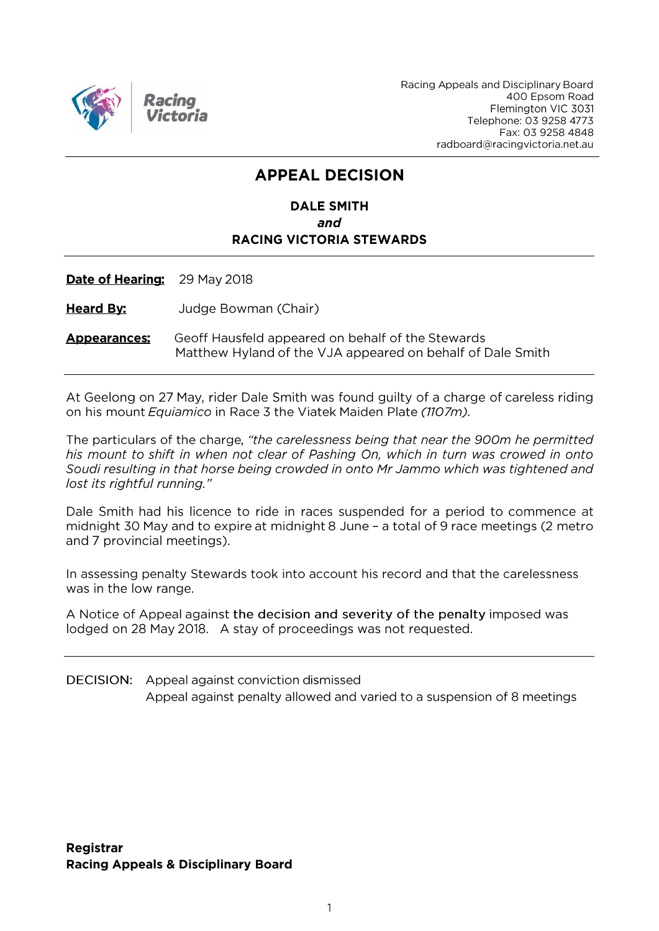

Racing Appeals and Disciplinary Board 400 Epsom Road Flemington VIC 3031 Telephone: 03 9258 4773 Fax: 03 9258 4848 radboard@racingvictoria.net.au

# **APPEAL DECISION**

### **DALE SMITH** and **RACING VICTORIA STEWARDS**

Date of Hearing: 29 May 2018

**Heard By:** Judge Bowman (Chair)

**Appearances:** Geoff Hausfeld appeared on behalf of the Stewards Matthew Hyland of the VJA appeared on behalf of Dale Smith

At Geelong on 27 May, rider Dale Smith was found guilty of a charge of careless riding on his mount Equiamico in Race 3 the Viatek Maiden Plate (1107m).

The particulars of the charge, "the carelessness being that near the 900m he permitted his mount to shift in when not clear of Pashing On, which in turn was crowed in onto Soudi resulting in that horse being crowded in onto Mr Jammo which was tightened and lost its rightful running."

Dale Smith had his licence to ride in races suspended for a period to commence at midnight 30 May and to expire at midnight 8 June - a total of 9 race meetings (2 metro and 7 provincial meetings).

In assessing penalty Stewards took into account his record and that the carelessness was in the low range.

A Notice of Appeal against the decision and severity of the penalty imposed was lodged on 28 May 2018. A stay of proceedings was not requested.

**DECISION:** Appeal against conviction dismissed Appeal against penalty allowed and varied to a suspension of 8 meetings

**Registrar Racing Appeals & Disciplinary Board**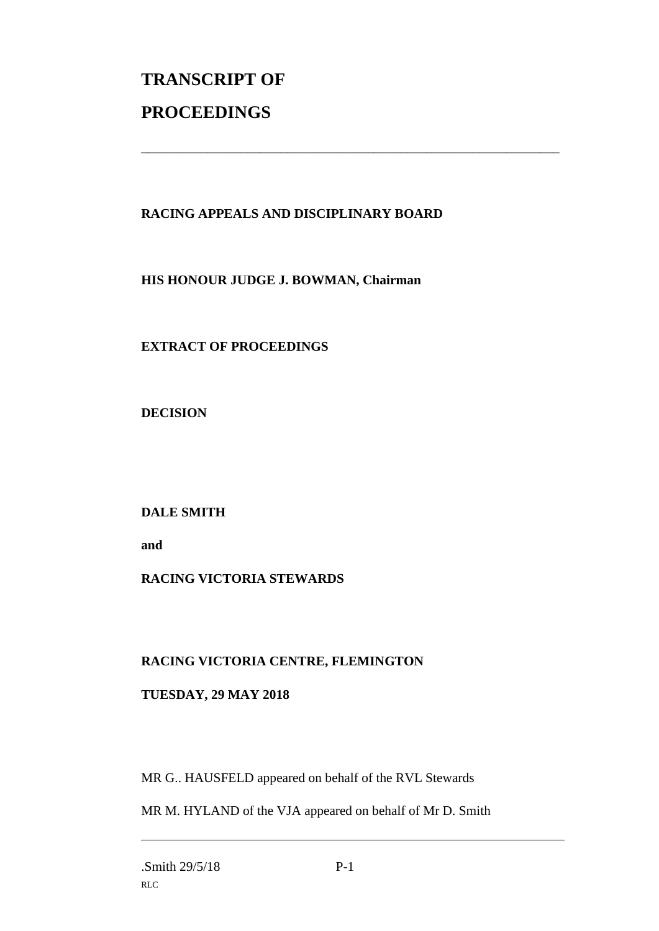# **TRANSCRIPT OF PROCEEDINGS**

#### **RACING APPEALS AND DISCIPLINARY BOARD**

\_\_\_\_\_\_\_\_\_\_\_\_\_\_\_\_\_\_\_\_\_\_\_\_\_\_\_\_\_\_\_\_\_\_\_\_\_\_\_\_\_\_\_\_\_\_\_\_\_\_\_\_\_\_\_\_\_\_\_\_\_\_\_

**HIS HONOUR JUDGE J. BOWMAN, Chairman**

**EXTRACT OF PROCEEDINGS**

**DECISION**

**DALE SMITH**

**and** 

## **RACING VICTORIA STEWARDS**

#### **RACING VICTORIA CENTRE, FLEMINGTON**

#### **TUESDAY, 29 MAY 2018**

MR G.. HAUSFELD appeared on behalf of the RVL Stewards

MR M. HYLAND of the VJA appeared on behalf of Mr D. Smith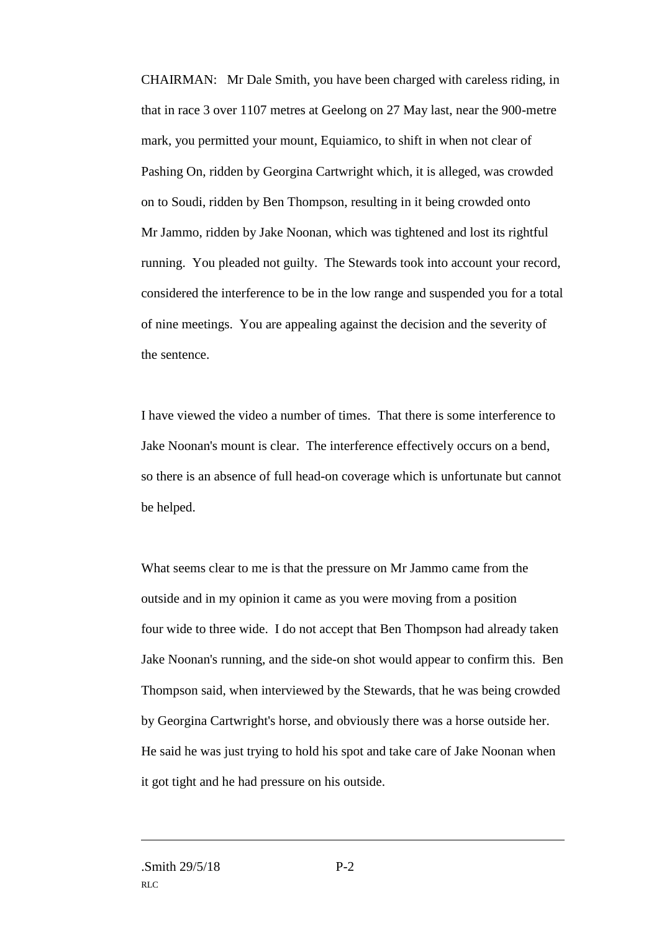CHAIRMAN: Mr Dale Smith, you have been charged with careless riding, in that in race 3 over 1107 metres at Geelong on 27 May last, near the 900-metre mark, you permitted your mount, Equiamico, to shift in when not clear of Pashing On, ridden by Georgina Cartwright which, it is alleged, was crowded on to Soudi, ridden by Ben Thompson, resulting in it being crowded onto Mr Jammo, ridden by Jake Noonan, which was tightened and lost its rightful running. You pleaded not guilty. The Stewards took into account your record, considered the interference to be in the low range and suspended you for a total of nine meetings. You are appealing against the decision and the severity of the sentence.

I have viewed the video a number of times. That there is some interference to Jake Noonan's mount is clear. The interference effectively occurs on a bend, so there is an absence of full head-on coverage which is unfortunate but cannot be helped.

What seems clear to me is that the pressure on Mr Jammo came from the outside and in my opinion it came as you were moving from a position four wide to three wide. I do not accept that Ben Thompson had already taken Jake Noonan's running, and the side-on shot would appear to confirm this. Ben Thompson said, when interviewed by the Stewards, that he was being crowded by Georgina Cartwright's horse, and obviously there was a horse outside her. He said he was just trying to hold his spot and take care of Jake Noonan when it got tight and he had pressure on his outside.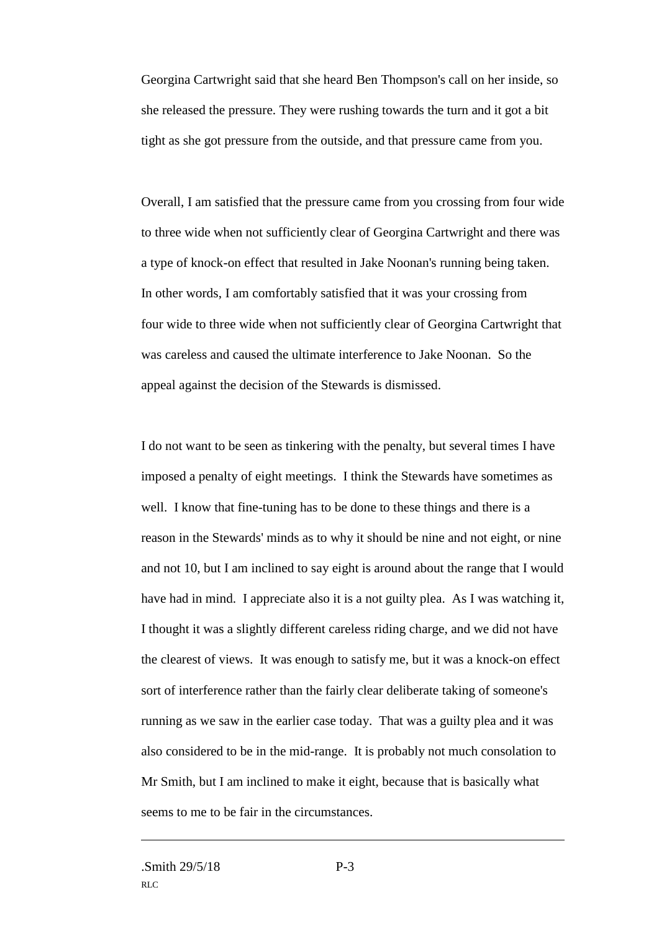Georgina Cartwright said that she heard Ben Thompson's call on her inside, so she released the pressure. They were rushing towards the turn and it got a bit tight as she got pressure from the outside, and that pressure came from you.

Overall, I am satisfied that the pressure came from you crossing from four wide to three wide when not sufficiently clear of Georgina Cartwright and there was a type of knock-on effect that resulted in Jake Noonan's running being taken. In other words, I am comfortably satisfied that it was your crossing from four wide to three wide when not sufficiently clear of Georgina Cartwright that was careless and caused the ultimate interference to Jake Noonan. So the appeal against the decision of the Stewards is dismissed.

I do not want to be seen as tinkering with the penalty, but several times I have imposed a penalty of eight meetings. I think the Stewards have sometimes as well. I know that fine-tuning has to be done to these things and there is a reason in the Stewards' minds as to why it should be nine and not eight, or nine and not 10, but I am inclined to say eight is around about the range that I would have had in mind. I appreciate also it is a not guilty plea. As I was watching it, I thought it was a slightly different careless riding charge, and we did not have the clearest of views. It was enough to satisfy me, but it was a knock-on effect sort of interference rather than the fairly clear deliberate taking of someone's running as we saw in the earlier case today. That was a guilty plea and it was also considered to be in the mid-range. It is probably not much consolation to Mr Smith, but I am inclined to make it eight, because that is basically what seems to me to be fair in the circumstances.